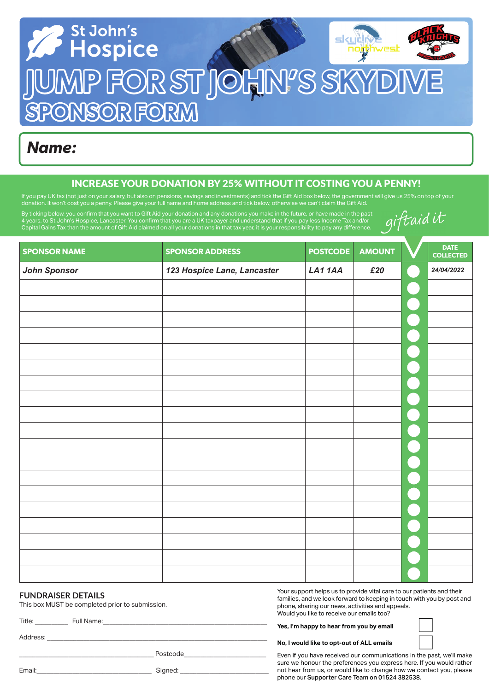

## *Name:*

## INCREASE YOUR DONATION BY 25% WITHOUT IT COSTING YOU A PENNY!

If you pay UK tax (not just on your salary, but also on pensions, savings and investments) and tick the Gift Aid box below, the government will give us 25% on top of your donation. It won't cost you a penny. Please give your full name and home address and tick below, otherwise we can't claim the Gift Aid.

By ticking below, you confirm that you want to Gift Aid your donation and any donations you make in the future, or have made in the past 4 years, to St John's Hospice, Lancaster. You confirm that you are a UK taxpayer and understand that if you pay less income Tax and/or Capital Gains Tax than the amount of Gift Aid claimed on all your donations in that tax year, it is your responsibility to pay any diff erence.

| giftaid it |  |
|------------|--|
|            |  |

| <b>SPONSOR NAME</b> | <b>SPONSOR ADDRESS</b>      | <b>POSTCODE</b> | <b>AMOUNT</b> | <b>DATE</b><br><b>COLLECTED</b> |
|---------------------|-----------------------------|-----------------|---------------|---------------------------------|
| <b>John Sponsor</b> | 123 Hospice Lane, Lancaster | LA11AA          | £20           | 24/04/2022                      |
|                     |                             |                 |               |                                 |
|                     |                             |                 |               |                                 |
|                     |                             |                 |               |                                 |
|                     |                             |                 |               |                                 |
|                     |                             |                 |               |                                 |
|                     |                             |                 |               |                                 |
|                     |                             |                 |               |                                 |
|                     |                             |                 |               |                                 |
|                     |                             |                 |               |                                 |
|                     |                             |                 |               |                                 |
|                     |                             |                 |               |                                 |
|                     |                             |                 |               |                                 |
|                     |                             |                 |               |                                 |
|                     |                             |                 |               |                                 |
|                     |                             |                 |               |                                 |
|                     |                             |                 |               |                                 |
|                     |                             |                 |               |                                 |
|                     |                             |                 |               |                                 |

#### **FUNDRAISER DETAILS**

This box MUST be completed prior to submission.

Title: Full Name:

Address: \_\_\_\_\_\_\_\_\_\_\_\_\_\_\_\_\_\_\_\_\_\_\_\_\_\_\_\_\_\_\_\_\_\_\_\_\_\_\_\_\_\_\_\_\_\_\_\_\_\_\_\_\_\_\_\_\_\_\_\_\_\_\_\_\_\_\_

\_\_\_\_\_\_\_\_\_\_\_\_\_\_\_\_\_\_\_\_\_\_\_\_\_\_\_\_\_\_\_\_\_\_\_\_\_\_\_\_\_ Postcode\_\_\_\_\_\_\_\_\_\_\_\_\_\_\_\_\_\_\_\_\_\_\_\_\_

Your support helps us to provide vital care to our patients and their families, and we look forward to keeping in touch with you by post and phone, sharing our news, activities and appeals. Would you like to receive our emails too?

**Yes, I'm happy to hear from you by email**

**No, I would like to opt-out of ALL emails** 

Even if you have received our communications in the past, we'll make sure we honour the preferences you express here. If you would rather not hear from us, or would like to change how we contact you, please phone our Supporter Care Team on 01524 382538.

| Email: | . | sianed: |  |
|--------|---|---------|--|
|        |   |         |  |